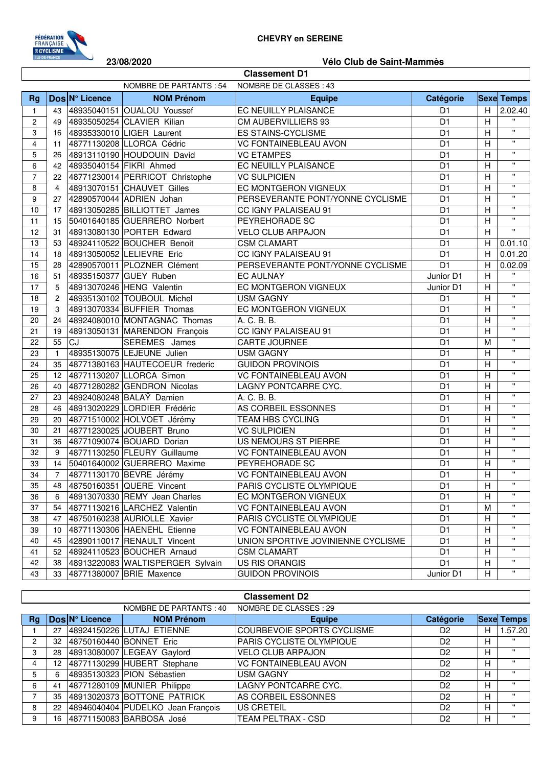

**Classement D1**

## **23/08/2020 Vélo Club de Saint-Mammès**

| <b>Classement D1</b>                              |                |                |                                     |                                    |                |                |                    |  |  |  |
|---------------------------------------------------|----------------|----------------|-------------------------------------|------------------------------------|----------------|----------------|--------------------|--|--|--|
| NOMBRE DE PARTANTS : 54<br>NOMBRE DE CLASSES : 43 |                |                |                                     |                                    |                |                |                    |  |  |  |
| Rg                                                |                | Dos N° Licence | <b>NOM Prénom</b>                   | <b>Equipe</b>                      | Catégorie      |                | <b>Sexe Temps</b>  |  |  |  |
| $\mathbf{1}$                                      | 43             |                | 48935040151 OUALOU Youssef          | EC NEUILLY PLAISANCE               | D <sub>1</sub> | H              | 2.02.40            |  |  |  |
| 2                                                 | 49             |                | 48935050254 CLAVIER Kilian          | CM AUBERVILLIERS 93                | D <sub>1</sub> | H              | $\mathbf{H}$       |  |  |  |
| 3                                                 | 16             |                | 48935330010 LIGER Laurent           | <b>ES STAINS-CYCLISME</b>          | D <sub>1</sub> | $\overline{H}$ | $\pmb{\mathsf{H}}$ |  |  |  |
| $\overline{4}$                                    | 11             |                | 48771130208 LLORCA Cédric           | <b>VC FONTAINEBLEAU AVON</b>       | D <sub>1</sub> | $\overline{H}$ | $\pmb{\mathsf{H}}$ |  |  |  |
| 5                                                 | 26             |                | 48913110190 HOUDOUIN David          | <b>VC ETAMPES</b>                  | D <sub>1</sub> | H              | $\mathbf{H}$       |  |  |  |
| 6                                                 | 42             |                | 48935040154 FIKRI Ahmed             | EC NEUILLY PLAISANCE               | D <sub>1</sub> | $\overline{H}$ | $\pmb{\mathsf{H}}$ |  |  |  |
| $\overline{7}$                                    | 22             |                | 48771230014 PERRICOT Christophe     | <b>VC SULPICIEN</b>                | D <sub>1</sub> | H              | $\pmb{\mathsf{H}}$ |  |  |  |
| 8                                                 | 4              |                | 48913070151 CHAUVET Gilles          | EC MONTGERON VIGNEUX               | D <sub>1</sub> | $\overline{H}$ | $\pmb{\mathsf{H}}$ |  |  |  |
| 9                                                 | 27             |                | 42890570044 ADRIEN Johan            | PERSEVERANTE PONT/YONNE CYCLISME   | D <sub>1</sub> | H              | $\mathbf{H}$       |  |  |  |
| 10                                                | 17             |                | 48913050285 BILLIOTTET James        | CC IGNY PALAISEAU 91               | D <sub>1</sub> | $\overline{H}$ | $\mathbf{H}$       |  |  |  |
| 11                                                | 15             |                | 50401640185 GUERRERO Norbert        | PEYREHORADE SC                     | D <sub>1</sub> | $\overline{H}$ | $\mathbf{u}$       |  |  |  |
| 12                                                | 31             |                | 48913080130 PORTER Edward           | <b>VELO CLUB ARPAJON</b>           | D <sub>1</sub> | H              | $\mathbf{u}$       |  |  |  |
| 13                                                | 53             |                | 48924110522 BOUCHER Benoit          | <b>CSM CLAMART</b>                 | D <sub>1</sub> | H              | 0.01.10            |  |  |  |
| 14                                                | 18             |                | 48913050052 LELIEVRE Eric           | CC IGNY PALAISEAU 91               | D <sub>1</sub> | H              | 0.01.20            |  |  |  |
| 15                                                | 28             |                | 42890570011 PLOZNER Clément         | PERSEVERANTE PONT/YONNE CYCLISME   | D <sub>1</sub> | H              | 0.02.09            |  |  |  |
| 16                                                | 51             |                | 48935150377 GUEY Ruben              | <b>EC AULNAY</b>                   | Junior D1      | H              | $\mathbf{H}$       |  |  |  |
| 17                                                | 5              |                | 48913070246 HENG Valentin           | EC MONTGERON VIGNEUX               | Junior D1      | Н              | $\mathbf{u}$       |  |  |  |
| 18                                                | $\overline{2}$ |                | 48935130102 TOUBOUL Michel          | <b>USM GAGNY</b>                   | D <sub>1</sub> | H              | $\mathbf{u}$       |  |  |  |
| 19                                                | 3              |                | 48913070334 BUFFIER Thomas          | EC MONTGERON VIGNEUX               | D <sub>1</sub> | H              | $\mathbf{u}$       |  |  |  |
| 20                                                | 24             |                | 48924080010 MONTAGNAC Thomas        | A. C. B. B.                        | D <sub>1</sub> | H              | $\mathbf{u}$       |  |  |  |
| 21                                                | 19             |                | 48913050131 MARENDON François       | CC IGNY PALAISEAU 91               | D <sub>1</sub> | H              | $\mathbf{u}$       |  |  |  |
| 22                                                | 55             | <b>CJ</b>      | <b>SEREMES</b> James                | CARTE JOURNEE                      | D <sub>1</sub> | M              | $\mathbf{H}$       |  |  |  |
| 23                                                | $\mathbf{1}$   |                | 48935130075 LEJEUNE Julien          | <b>USM GAGNY</b>                   | D <sub>1</sub> | H              | $\pmb{\mathsf{H}}$ |  |  |  |
| 24                                                | 35             |                | 48771380163 HAUTECOEUR frederic     | <b>GUIDON PROVINOIS</b>            | D <sub>1</sub> | H              | $\mathbf{H}$       |  |  |  |
| 25                                                | 12             |                | 48771130207 LLORCA Simon            | <b>VC FONTAINEBLEAU AVON</b>       | D <sub>1</sub> | H              | $\mathbf{H}$       |  |  |  |
| 26                                                | 40             |                | 48771280282 GENDRON Nicolas         | LAGNY PONTCARRE CYC.               | D <sub>1</sub> | H              | $\pmb{\mathsf{H}}$ |  |  |  |
| 27                                                | 23             |                | 48924080248 BALAY Damien            | A. C. B. B.                        | D <sub>1</sub> | H              | $\mathbf{H}$       |  |  |  |
| 28                                                | 46             |                | 48913020229 LORDIER Frédéric        | AS CORBEIL ESSONNES                | D <sub>1</sub> | $\overline{H}$ | $\mathbf{H}$       |  |  |  |
| 29                                                | 20             |                | 48771510002 HOLVOET Jérémy          | TEAM HBS CYCLING                   | D <sub>1</sub> | H              | $\pmb{\mathsf{H}}$ |  |  |  |
| 30                                                | 21             |                | 48771230025 JOUBERT Bruno           | <b>VC SULPICIEN</b>                | D <sub>1</sub> | H              | $\mathbf{H}$       |  |  |  |
| 31                                                | 36             |                | 48771090074 BOUARD Dorian           | US NEMOURS ST PIERRE               | D <sub>1</sub> | $\overline{H}$ | $\mathbf{H}$       |  |  |  |
| 32                                                | 9              |                | 48771130250 FLEURY Guillaume        | <b>VC FONTAINEBLEAU AVON</b>       | D <sub>1</sub> | $\overline{H}$ | $\mathbf{H}$       |  |  |  |
| 33                                                | 14             |                | 50401640002 GUERRERO Maxime         | PEYREHORADE SC                     | D <sub>1</sub> | H              | $\mathbf{H}$       |  |  |  |
| 34                                                | $\overline{7}$ |                | 48771130170 BEVRE Jérémy            | VC FONTAINEBLEAU AVON              | D <sub>1</sub> | H              | $\mathbf{H}$       |  |  |  |
| 35                                                | 48             |                | 48750160351 QUERE Vincent           | PARIS CYCLISTE OLYMPIQUE           | D <sub>1</sub> | Н              | $\pmb{\mathsf{H}}$ |  |  |  |
| 36                                                | 6              |                | 48913070330 REMY Jean Charles       | EC MONTGERON VIGNEUX               | D <sub>1</sub> | н              |                    |  |  |  |
| 37                                                | 54             |                | 48771130216 LARCHEZ Valentin        | <b>VC FONTAINEBLEAU AVON</b>       | D <sub>1</sub> | M              | $\pmb{\mathsf{H}}$ |  |  |  |
| 38                                                | 47             |                | 48750160238 AURIOLLE Xavier         | PARIS CYCLISTE OLYMPIQUE           | D <sub>1</sub> | H              | $\pmb{\mathsf{H}}$ |  |  |  |
| 39                                                | 10             |                | 48771130306 HAENEHL Etienne         | <b>VC FONTAINEBLEAU AVON</b>       | D1             | Н              | $\pmb{\mathsf{H}}$ |  |  |  |
| 40                                                | 45             |                | 42890110017 RENAULT Vincent         | UNION SPORTIVE JOVINIENNE CYCLISME | D <sub>1</sub> | H              | "                  |  |  |  |
| 41                                                |                |                | 52 48924110523 BOUCHER Arnaud       | <b>CSM CLAMART</b>                 | D <sub>1</sub> | Н              | "                  |  |  |  |
| 42                                                |                |                | 38 48913220083 WALTISPERGER Sylvain | <b>US RIS ORANGIS</b>              | D <sub>1</sub> | Н              | "                  |  |  |  |
| 43                                                |                |                | 33 48771380007 BRIE Maxence         | <b>GUIDON PROVINOIS</b>            | Junior D1      | H              | .,                 |  |  |  |
|                                                   |                |                |                                     |                                    |                |                |                    |  |  |  |

|                | <b>Classement D2</b>                              |                |                                   |                              |                |   |                   |  |  |  |
|----------------|---------------------------------------------------|----------------|-----------------------------------|------------------------------|----------------|---|-------------------|--|--|--|
|                | NOMBRE DE CLASSES : 29<br>NOMBRE DE PARTANTS : 40 |                |                                   |                              |                |   |                   |  |  |  |
| Rg             |                                                   | Dos N° Licence | <b>NOM Prénom</b>                 | <b>Equipe</b>                | Catégorie      |   | <b>Sexe Temps</b> |  |  |  |
|                | 27                                                |                | 48924150226 LUTAJ ETIENNE         | COURBEVOIE SPORTS CYCLISME   | D <sub>2</sub> | н | 1.57.20           |  |  |  |
| $\overline{2}$ | 32                                                |                | 48750160440 BONNET Eric           | PARIS CYCLISTE OLYMPIQUE     | D <sub>2</sub> | Н | $\mathbf{H}$      |  |  |  |
| 3              | 28                                                |                | 48913080007 LEGEAY Gaylord        | <b>VELO CLUB ARPAJON</b>     | D <sub>2</sub> | н | $\mathbf{H}$      |  |  |  |
| 4              | 12                                                |                | 48771130299 HUBERT Stephane       | <b>VC FONTAINEBLEAU AVON</b> | D <sub>2</sub> | Н | $\mathbf{H}$      |  |  |  |
| 5              | 6                                                 |                | 48935130323 PION Sébastien        | <b>USM GAGNY</b>             | D <sub>2</sub> | H | $\mathbf{H}$      |  |  |  |
| 6              | 41                                                |                | 48771280109 MUNIER Philippe       | LAGNY PONTCARRE CYC.         | D <sub>2</sub> | H | $\mathbf{H}$      |  |  |  |
|                | 35                                                |                | 48913020373 BOTTONE PATRICK       | AS CORBEIL ESSONNES          | D <sub>2</sub> | н | $\mathbf{H}$      |  |  |  |
| 8              | 22                                                |                | 48946040404 PUDELKO Jean François | US CRETEIL                   | D <sub>2</sub> | н | $\mathbf{H}$      |  |  |  |
| 9              | 16                                                |                | 48771150083 BARBOSA José          | TEAM PELTRAX - CSD           | D <sub>2</sub> | Н | $\mathbf{H}$      |  |  |  |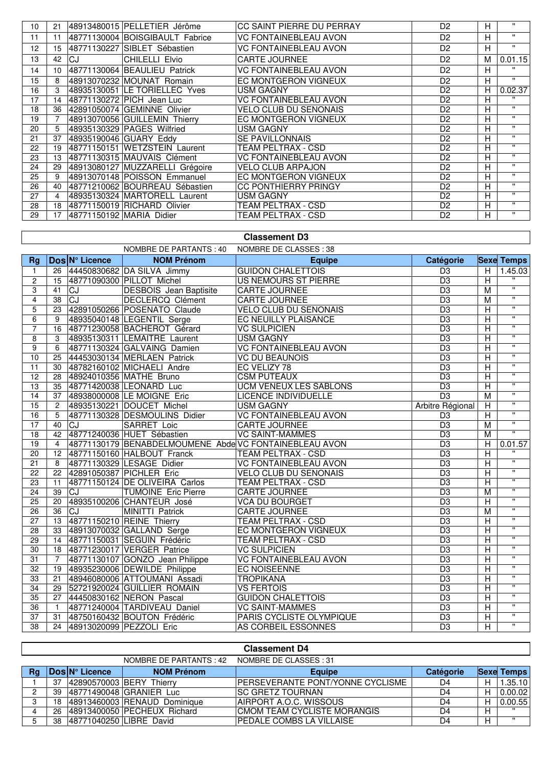| 10 | 21 |    | 48913480015 PELLETIER Jérôme    | CC SAINT PIERRE DU PERRAY    | D <sub>2</sub> | H | $\mathbf{H}$ |
|----|----|----|---------------------------------|------------------------------|----------------|---|--------------|
| 11 | 11 |    | 48771130004 BOISGIBAULT Fabrice | <b>VC FONTAINEBLEAU AVON</b> | D <sub>2</sub> | H | $\mathbf{H}$ |
| 12 | 15 |    | 48771130227 SIBLET Sébastien    | <b>VC FONTAINEBLEAU AVON</b> | D <sub>2</sub> | н | $\mathbf{H}$ |
| 13 | 42 | CJ | CHILELLI Elvio                  | <b>CARTE JOURNEE</b>         | D <sub>2</sub> | M | 0.01.15      |
| 14 | 10 |    | 48771130064 BEAULIEU Patrick    | <b>VC FONTAINEBLEAU AVON</b> | D <sub>2</sub> | н | $\mathbf{H}$ |
| 15 | 8  |    | 48913070232 MOUNAT Romain       | EC MONTGERON VIGNEUX         | D <sub>2</sub> | н | $\mathbf{H}$ |
| 16 | 3  |    | 48935130051 LE TORIELLEC Yves   | <b>USM GAGNY</b>             | D <sub>2</sub> | Н | 0.02.37      |
| 17 | 14 |    | 48771130272 PICH Jean Luc       | <b>VC FONTAINEBLEAU AVON</b> | D <sub>2</sub> | н | $\mathbf{u}$ |
| 18 | 36 |    | 42891050074 GEMINNE Olivier     | <b>VELO CLUB DU SENONAIS</b> | D <sub>2</sub> | Н | $\mathbf{H}$ |
| 19 |    |    | 48913070056 GUILLEMIN Thierry   | EC MONTGERON VIGNEUX         | D <sub>2</sub> | н | $\mathbf{H}$ |
| 20 | 5  |    | 48935130329 PAGES Wilfried      | <b>USM GAGNY</b>             | D <sub>2</sub> | H | $\mathbf{H}$ |
| 21 | 37 |    | 48935190046 GUARY Eddy          | <b>SE PAVILLONNAIS</b>       | D <sub>2</sub> | н | $\mathbf{H}$ |
| 22 | 19 |    | 48771150151 WETZSTEIN Laurent   | TEAM PELTRAX - CSD           | D <sub>2</sub> | н | $\mathbf{H}$ |
| 23 | 13 |    | 48771130315 MAUVAIS Clément     | <b>VC FONTAINEBLEAU AVON</b> | D <sub>2</sub> | н | $\mathbf{H}$ |
| 24 | 29 |    | 48913080127 MUZZARELLI Grégoire | <b>VELO CLUB ARPAJON</b>     | D <sub>2</sub> | н | $\mathbf{H}$ |
| 25 | 9  |    | 48913070148 POISSON Emmanuel    | EC MONTGERON VIGNEUX         | D <sub>2</sub> | н | $\mathbf{H}$ |
| 26 | 40 |    | 48771210062 BOURREAU Sébastien  | <b>CC PONTHIERRY PRINGY</b>  | D <sub>2</sub> | н | $\mathbf{H}$ |
| 27 | 4  |    | 48935130324 MARTORELL Laurent   | <b>USM GAGNY</b>             | D <sub>2</sub> | н | $\mathbf{H}$ |
| 28 | 18 |    | 48771150019 RICHARD Olivier     | TEAM PELTRAX - CSD           | D <sub>2</sub> | н | $\mathbf{H}$ |
| 29 | 17 |    | 48771150192 MARIA Didier        | TEAM PELTRAX - CSD           | D <sub>2</sub> | H | $\mathbf{H}$ |
|    |    |    |                                 |                              |                |   |              |

## **Classement D3**

NOMBRE DE PARTANTS : 40 NOMBRE DE CLASSES : 38

|                 |                |                | <b>INUIVIDRE DE FARTAINTS. 40</b>                      | INVINIDINE DE ULAJJEJ. JO     |                  |                         |                         |
|-----------------|----------------|----------------|--------------------------------------------------------|-------------------------------|------------------|-------------------------|-------------------------|
| <b>Rg</b>       |                | Dos N° Licence | <b>NOM Prénom</b>                                      | <b>Equipe</b>                 | Catégorie        |                         | <b>Sexe Temps</b>       |
| 1               | 26             |                | 44450830682 DA SILVA Jimmy                             | <b>GUIDON CHALETTOIS</b>      | $\overline{D3}$  | $\overline{H}$          | 1.45.03                 |
| $\overline{c}$  | 15             |                | 48771090300 PILLOT Michel                              | <b>US NEMOURS ST PIERRE</b>   | D <sub>3</sub>   | $\overline{\mathsf{H}}$ |                         |
| $\overline{3}$  | 41             | <b>CJ</b>      | <b>DESBOIS</b> Jean Baptisite                          | <b>CARTE JOURNEE</b>          | D <sub>3</sub>   | M                       | $\overline{\mathbf{u}}$ |
| 4               | 38             | CJ             | <b>DECLERCQ Clément</b>                                | <b>CARTE JOURNEE</b>          | D <sub>3</sub>   | $\overline{M}$          | $\overline{\mathbf{u}}$ |
| 5               | 23             |                | 42891050266 POSENATO Claude                            | <b>VELO CLUB DU SENONAIS</b>  | D <sub>3</sub>   | $\overline{\mathsf{H}}$ | $\overline{\mathbf{u}}$ |
| 6               | 9              |                | 48935040148 LEGENTIL Serge                             | EC NEUILLY PLAISANCE          | $\overline{D3}$  | $\overline{\mathsf{H}}$ | $\overline{\mathbf{u}}$ |
| $\overline{7}$  | 16             |                | 48771230058 BACHEROT Gérard                            | <b>VC SULPICIEN</b>           | D <sub>3</sub>   | $\overline{\mathsf{H}}$ | $\overline{\mathbf{u}}$ |
| 8               | 3              |                | 48935130311 LEMAITRE Laurent                           | <b>USM GAGNY</b>              | $\overline{D3}$  | $\overline{\mathsf{H}}$ | $\overline{\mathbf{u}}$ |
| $\overline{9}$  | 6              |                | 48771130324 GALVAING Damien                            | <b>VC FONTAINEBLEAU AVON</b>  | D <sub>3</sub>   | $\overline{\mathsf{H}}$ | $\overline{\mathbf{u}}$ |
| 10              | 25             |                | 44453030134 MERLAEN Patrick                            | <b>VC DU BEAUNOIS</b>         | D <sub>3</sub>   | $\overline{\mathsf{H}}$ | $\overline{\mathbf{u}}$ |
| 11              | 30             |                | 48782160102 MICHAELI Andre                             | EC VELIZY 78                  | D <sub>3</sub>   | $\overline{\mathsf{H}}$ | $\overline{\mathbf{u}}$ |
| 12              | 28             |                | 48924010356 MATHE Bruno                                | <b>CSM PUTEAUX</b>            | D <sub>3</sub>   | $\overline{\mathsf{H}}$ | π                       |
| 13              | 35             |                | 48771420038 LEONARD Luc                                | <b>UCM VENEUX LES SABLONS</b> | D <sub>3</sub>   | $\overline{H}$          | $\overline{\mathbf{u}}$ |
| 14              | 37             |                | 48938000008 LE MOIGNE Eric                             | <b>LICENCE INDIVIDUELLE</b>   | D <sub>3</sub>   | M                       | $\overline{\mathbf{u}}$ |
| 15              | $\overline{2}$ |                | 48935130221 DOUCET Michel                              | <b>USM GAGNY</b>              | Arbitre Régional | $\overline{\mathsf{H}}$ | $\overline{\mathbf{u}}$ |
| 16              | 5              |                | 48771130328 DESMOULINS Didier                          | <b>VC FONTAINEBLEAU AVON</b>  | D <sub>3</sub>   | $\overline{H}$          | $\overline{\mathbf{u}}$ |
| 17              | 40             | <b>CJ</b>      | <b>SARRET Loic</b>                                     | <b>CARTE JOURNEE</b>          | D <sub>3</sub>   | M                       | π                       |
| 18              | 42             |                | 48771240036 HUET Sébastien                             | <b>VC SAINT-MAMMES</b>        | D <sub>3</sub>   | M                       | $\overline{\mathbf{u}}$ |
| 19              | $\overline{4}$ |                | 48771130179 BENABDELMOUMENE Abde VC FONTAINEBLEAU AVON |                               | D <sub>3</sub>   | $\overline{H}$          | 0.01.57                 |
| 20              | 12             |                | 48771150160 HALBOUT Franck                             | <b>TEAM PELTRAX - CSD</b>     | D <sub>3</sub>   | $\overline{\mathsf{H}}$ | $\overline{\mathbf{u}}$ |
| 21              | 8              |                | 48771130329 LESAGE Didier                              | <b>VC FONTAINEBLEAU AVON</b>  | D <sub>3</sub>   | $\overline{\mathsf{H}}$ | $\overline{\mathbf{u}}$ |
| 22              | 22             |                | 42891050387 PICHLER Eric                               | <b>VELO CLUB DU SENONAIS</b>  | D <sub>3</sub>   | $\overline{\mathsf{H}}$ | $\overline{\mathbf{u}}$ |
| 23              | 11             |                | 48771150124 DE OLIVEIRA Carlos                         | <b>TEAM PELTRAX - CSD</b>     | D <sub>3</sub>   | $\overline{\mathsf{H}}$ | $\overline{\mathbf{u}}$ |
| 24              | 39             | <b>CJ</b>      | <b>TUMOINE Eric Pierre</b>                             | <b>CARTE JOURNEE</b>          | D <sub>3</sub>   | M                       | $\overline{\mathbf{u}}$ |
| 25              | 20             |                | 48935100206 CHANTEUR José                              | <b>VCA DU BOURGET</b>         | $\overline{D3}$  | $\overline{\mathsf{H}}$ | $\pmb{\mathsf{H}}$      |
| 26              | 36             | <b>CJ</b>      | MINITTI Patrick                                        | CARTE JOURNEE                 | D <sub>3</sub>   | M                       | $\overline{\mathbf{u}}$ |
| 27              | 13             |                | 48771150210 REINE Thierry                              | <b>TEAM PELTRAX - CSD</b>     | D <sub>3</sub>   | $\overline{\mathsf{H}}$ | $\overline{\mathbf{u}}$ |
| $\overline{28}$ | 33             |                | 48913070032 GALLAND Serge                              | EC MONTGERON VIGNEUX          | D <sub>3</sub>   | $\overline{\mathsf{H}}$ | $\overline{\mathbf{u}}$ |
| $\overline{29}$ | 14             |                | 48771150031 SEGUIN Frédéric                            | <b>TEAM PELTRAX - CSD</b>     | D <sub>3</sub>   | $\overline{\mathsf{H}}$ | π                       |
| 30              | 18             |                | 48771230017 VERGER Patrice                             | <b>VC SULPICIEN</b>           | D <sub>3</sub>   | $\overline{\mathsf{H}}$ | $\overline{\mathbf{u}}$ |
| $\overline{31}$ | $\overline{7}$ |                | 48771130107 GONZO Jean Philippe                        | <b>VC FONTAINEBLEAU AVON</b>  | D <sub>3</sub>   | $\overline{\mathsf{H}}$ | π                       |
| 32              | 19             |                | 48935230006 DEWILDE Philippe                           | <b>EC NOISEENNE</b>           | D <sub>3</sub>   | $\overline{\mathsf{H}}$ | $\overline{\mathbf{u}}$ |
| 33              | 21             |                | 48946080006 ATTOUMANI Assadi                           | <b>TROPIKANA</b>              | D <sub>3</sub>   | $\overline{\mathsf{H}}$ | $\mathbf{H}$            |
| 34              | 29             |                | 52721920024 GUILLIER ROMAIN                            | <b>VS FERTOIS</b>             | $\overline{D3}$  | $\overline{\mathsf{H}}$ | $\overline{\mathbf{u}}$ |
| 35              | 27             |                | 44450830162 NERON Pascal                               | <b>GUIDON CHALETTOIS</b>      | D <sub>3</sub>   | $\overline{\mathsf{H}}$ | $\overline{\mathbf{u}}$ |
| $\overline{36}$ | $\overline{1}$ |                | 48771240004 TARDIVEAU Daniel                           | <b>VC SAINT-MAMMES</b>        | D <sub>3</sub>   | $\overline{\mathsf{H}}$ | $\overline{\mathbf{u}}$ |
| 37              | 31             |                | 48750160432 BOUTON Frédéric                            | PARIS CYCLISTE OLYMPIQUE      | D <sub>3</sub>   | $\overline{\mathsf{H}}$ | π                       |
| 38              |                |                | 24 48913020099 PEZZOLI Eric                            | AS CORBEIL ESSONNES           | $\overline{D3}$  | $\overline{\mathsf{H}}$ | $\overline{\mathbf{u}}$ |

|    | <b>Classement D4</b>                             |                         |                              |                                  |                  |   |                   |  |  |  |
|----|--------------------------------------------------|-------------------------|------------------------------|----------------------------------|------------------|---|-------------------|--|--|--|
|    | NOMBRE DE CLASSES: 31<br>NOMBRE DE PARTANTS : 42 |                         |                              |                                  |                  |   |                   |  |  |  |
| Rg |                                                  | Dos N° Licence          | <b>NOM Prénom</b>            | <b>Equipe</b>                    | <b>Catégorie</b> |   | <b>Sexe Temps</b> |  |  |  |
|    | 37                                               |                         | 42890570003 BERY Thierry     | PERSEVERANTE PONT/YONNE CYCLISME | D4               | Н | 1.35.10           |  |  |  |
| റ  | 39                                               |                         | 48771490048 GRANIER Luc      | <b>ISC GRETZ TOURNAN</b>         | D4               | н | 0.00.02           |  |  |  |
| C. | 18                                               |                         | 48913460003 RENAUD Dominique | AIRPORT A.O.C. WISSOUS           | D4               | Н | 0.00.55           |  |  |  |
|    | 26                                               |                         | 48913400050 PECHEUX Richard  | CMOM TEAM CYCLISTE MORANGIS      | D4               | Н | $\mathbf{u}$      |  |  |  |
|    | 38                                               | 48771040250 LIBRE David |                              | PEDALE COMBS LA VILLAISE         | D4               | н | $\mathbf{H}$      |  |  |  |

Г

 $\overline{\phantom{a}}$